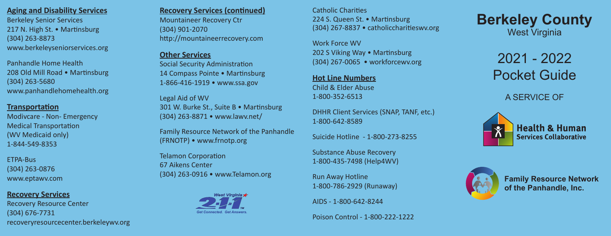# **Aging and Disability Services**

Berkeley Senior Services 217 N. High St. • Martinsburg (304) 263-8873 www.berkeleyseniorservices.org

Panhandle Home Health 208 Old Mill Road • Martinsburg (304) 263-5680 www.panhandlehomehealth.org

### **Transportation**

Modivcare - Non- Emergency Medical Transportation (WV Medicaid only) 1-844-549-8353

ETPA-Bus (304) 263-0876 www.eptawv.com

### **Recovery Services**

Recovery Resource Center (304) 676-7731 recoveryresourcecenter.berkeleywv.org

### **Recovery Services (continued)**

Mountaineer Recovery Ctr (304) 901-2070 http://mountaineerrecovery.com

# **Other Services**

Social Security Administration 14 Compass Pointe • Martinsburg 1-866-416-1919 • www.ssa.gov

Legal Aid of WV 301 W. Burke St., Suite B • Martinsburg (304) 263-8871 • www.lawv.net/

Family Resource Network of the Panhandle (FRNOTP) • www.frnotp.org

Telamon Corporation 67 Aikens Center (304) 263-0916 • www.Telamon.org



Catholic Charities 224 S. Queen St. • Martinsburg (304) 267-8837 • catholiccharitieswv.org

Work Force WV 202 S Viking Way • Martinsburg (304) 267-0065 • workforcewv.org

**Hot Line Numbers** Child & Elder Abuse 1-800-352-6513

DHHR Client Services (SNAP, TANF, etc.) 1-800-642-8589

Suicide Hotline - 1-800-273-8255

Substance Abuse Recovery 1-800-435-7498 (Help4WV)

Run Away Hotline 1-800-786-2929 (Runaway)

AIDS - 1-800-642-8244

Poison Control - 1-800-222-1222

**Berkeley County** West Virginia

> 2021 - 2022 Pocket Guide

> > A SERVICE OF





**Family Resource Network of the Panhandle, Inc.**